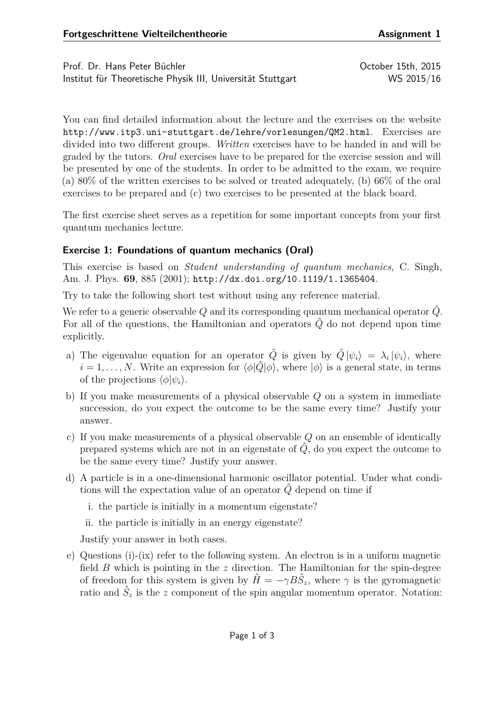Prof. Dr. Hans Peter Büchler Christian Australian Corp. 2015 Institut für Theoretische Physik III, Universität Stuttgart WS 2015/16

You can find detailed information about the lecture and the exercises on the website <http://www.itp3.uni-stuttgart.de/lehre/vorlesungen/QM2.html>. Exercises are divided into two different groups. *Written* exercises have to be handed in and will be graded by the tutors. *Oral* exercises have to be prepared for the exercise session and will be presented by one of the students. In order to be admitted to the exam, we require (a) 80% of the written exercises to be solved or treated adequately, (b) 66% of the oral exercises to be prepared and (c) two exercises to be presented at the black board.

The first exercise sheet serves as a repetition for some important concepts from your first quantum mechanics lecture.

## **Exercise 1: Foundations of quantum mechanics (Oral)**

This exercise is based on *Student understanding of quantum mechanics*, C. Singh, Am. J. Phys. **69**, 885 (2001); <http://dx.doi.org/10.1119/1.1365404>.

Try to take the following short test without using any reference material.

We refer to a generic observable Q and its corresponding quantum mechanical operator  $\hat{Q}$ . For all of the questions, the Hamiltonian and operators  $\hat{Q}$  do not depend upon time explicitly.

- a) The eigenvalue equation for an operator  $\hat{Q}$  is given by  $\hat{Q} | \psi_i \rangle = \lambda_i | \psi_i \rangle$ , where  $i = 1, \ldots, N$ . Write an expression for  $\langle \phi | \hat{Q} | \phi \rangle$ , where  $| \phi \rangle$  is a general state, in terms of the projections  $\langle \phi | \psi_i \rangle$ .
- b) If you make measurements of a physical observable *Q* on a system in immediate succession, do you expect the outcome to be the same every time? Justify your answer.
- c) If you make measurements of a physical observable *Q* on an ensemble of identically prepared systems which are not in an eigenstate of  $\hat{Q}$ , do you expect the outcome to be the same every time? Justify your answer.
- d) A particle is in a one-dimensional harmonic oscillator potential. Under what conditions will the expectation value of an operator  $\hat{Q}$  depend on time if

i. the particle is initially in a momentum eigenstate?

ii. the particle is initially in an energy eigenstate?

Justify your answer in both cases.

e) Questions (i)-(ix) refer to the following system. An electron is in a uniform magnetic field *B* which is pointing in the *z* direction. The Hamiltonian for the spin-degree of freedom for this system is given by  $\hat{H} = -\gamma B \hat{S}_z$ , where  $\gamma$  is the gyromagnetic ratio and  $\hat{S}_z$  is the *z* component of the spin angular momentum operator. Notation: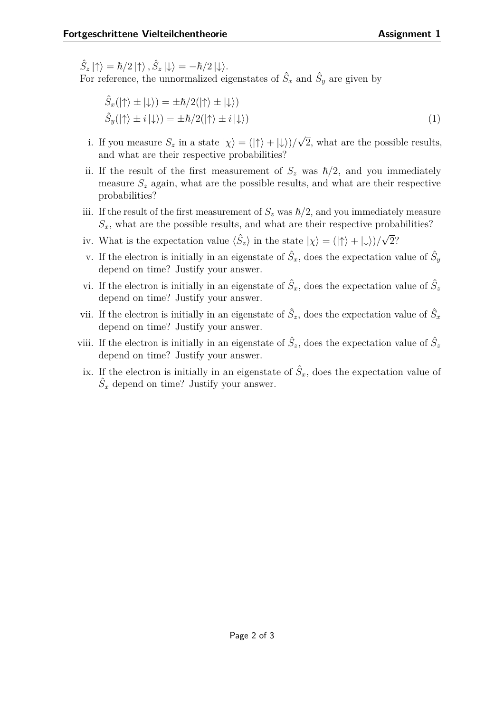$\hat{S}_z |\!\uparrow\rangle = \hbar/2 \ket{\uparrow}, \hat{S}_z |\!\downarrow\rangle = -\hbar/2 \ket{\downarrow}.$ 

For reference, the unnormalized eigenstates of  $\hat{S}_x$  and  $\hat{S}_y$  are given by

$$
\hat{S}_x(|\uparrow\rangle \pm |\downarrow\rangle) = \pm \hbar/2(|\uparrow\rangle \pm |\downarrow\rangle) \n\hat{S}_y(|\uparrow\rangle \pm i|\downarrow\rangle) = \pm \hbar/2(|\uparrow\rangle \pm i|\downarrow\rangle)
$$
\n(1)

- i. If you measure  $S_z$  in a state  $|\chi\rangle = (|\uparrow\rangle + |\downarrow\rangle)/$ √ 2, what are the possible results, and what are their respective probabilities?
- ii. If the result of the first measurement of  $S_z$  was  $\hbar/2$ , and you immediately measure  $S_z$  again, what are the possible results, and what are their respective probabilities?
- iii. If the result of the first measurement of  $S_z$  was  $\hbar/2$ , and you immediately measure  $S<sub>x</sub>$ , what are the possible results, and what are their respective probabilities?
- iv. What is the expectation value  $\langle \hat{S}_z \rangle$  in the state  $|\chi\rangle = (|\uparrow\rangle + |\downarrow\rangle)/$ √ 2?
- v. If the electron is initially in an eigenstate of  $\hat{S}_x$ , does the expectation value of  $\hat{S}_y$ depend on time? Justify your answer.
- vi. If the electron is initially in an eigenstate of  $\hat{S}_x$ , does the expectation value of  $\hat{S}_z$ depend on time? Justify your answer.
- vii. If the electron is initially in an eigenstate of  $\hat{S}_z$ , does the expectation value of  $\hat{S}_x$ depend on time? Justify your answer.
- viii. If the electron is initially in an eigenstate of  $\hat{S}_z$ , does the expectation value of  $\hat{S}_z$ depend on time? Justify your answer.
- ix. If the electron is initially in an eigenstate of  $\hat{S}_x$ , does the expectation value of  $\hat{S}_x$  depend on time? Justify your answer.